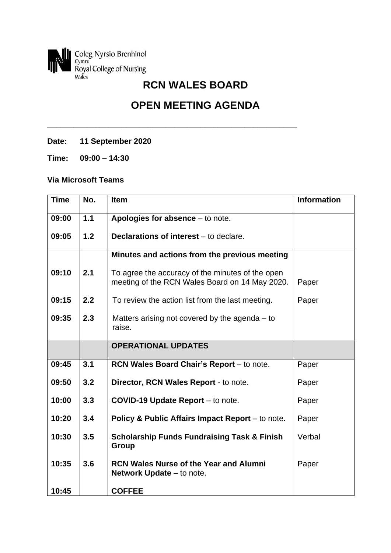

## **OPEN MEETING AGENDA**

**\_\_\_\_\_\_\_\_\_\_\_\_\_\_\_\_\_\_\_\_\_\_\_\_\_\_\_\_\_\_\_\_\_\_\_\_\_\_\_\_\_\_\_\_\_\_\_\_\_\_\_\_\_\_\_\_\_**

**Date: 11 September 2020**

**Time: 09:00 – 14:30**

## **Via Microsoft Teams**

| <b>Time</b> | No. | <b>Item</b>                                                                                        | <b>Information</b> |
|-------------|-----|----------------------------------------------------------------------------------------------------|--------------------|
| 09:00       | 1.1 | Apologies for absence $-$ to note.                                                                 |                    |
| 09:05       | 1.2 | <b>Declarations of interest</b> – to declare.                                                      |                    |
|             |     | Minutes and actions from the previous meeting                                                      |                    |
| 09:10       | 2.1 | To agree the accuracy of the minutes of the open<br>meeting of the RCN Wales Board on 14 May 2020. | Paper              |
| 09:15       | 2.2 | To review the action list from the last meeting.                                                   | Paper              |
| 09:35       | 2.3 | Matters arising not covered by the agenda $-$ to<br>raise.                                         |                    |
|             |     | <b>OPERATIONAL UPDATES</b>                                                                         |                    |
| 09:45       | 3.1 | RCN Wales Board Chair's Report - to note.                                                          | Paper              |
| 09:50       | 3.2 | Director, RCN Wales Report - to note.                                                              | Paper              |
| 10:00       | 3.3 | COVID-19 Update Report - to note.                                                                  | Paper              |
| 10:20       | 3.4 | Policy & Public Affairs Impact Report – to note.                                                   | Paper              |
| 10:30       | 3.5 | <b>Scholarship Funds Fundraising Task &amp; Finish</b><br><b>Group</b>                             | Verbal             |
| 10:35       | 3.6 | <b>RCN Wales Nurse of the Year and Alumni</b><br><b>Network Update</b> – to note.                  | Paper              |
| 10:45       |     | <b>COFFEE</b>                                                                                      |                    |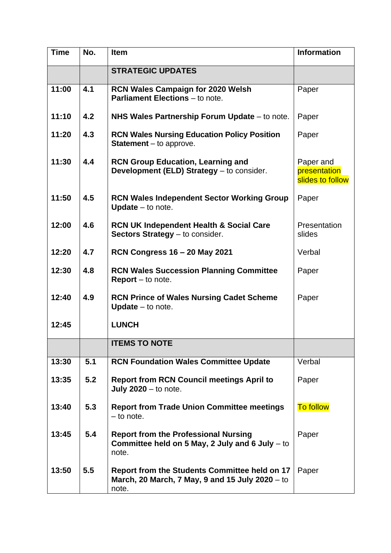| <b>Time</b> | No. | <b>Item</b>                                                                                                      | <b>Information</b>                            |
|-------------|-----|------------------------------------------------------------------------------------------------------------------|-----------------------------------------------|
|             |     | <b>STRATEGIC UPDATES</b>                                                                                         |                                               |
| 11:00       | 4.1 | <b>RCN Wales Campaign for 2020 Welsh</b><br><b>Parliament Elections</b> – to note.                               | Paper                                         |
| 11:10       | 4.2 | NHS Wales Partnership Forum Update – to note.                                                                    | Paper                                         |
| 11:20       | 4.3 | <b>RCN Wales Nursing Education Policy Position</b><br><b>Statement</b> $-$ to approve.                           | Paper                                         |
| 11:30       | 4.4 | <b>RCN Group Education, Learning and</b><br>Development (ELD) Strategy - to consider.                            | Paper and<br>presentation<br>slides to follow |
| 11:50       | 4.5 | <b>RCN Wales Independent Sector Working Group</b><br>Update $-$ to note.                                         | Paper                                         |
| 12:00       | 4.6 | <b>RCN UK Independent Health &amp; Social Care</b><br>Sectors Strategy - to consider.                            | Presentation<br>slides                        |
| 12:20       | 4.7 | <b>RCN Congress 16 - 20 May 2021</b>                                                                             | Verbal                                        |
| 12:30       | 4.8 | <b>RCN Wales Succession Planning Committee</b><br><b>Report</b> $-$ to note.                                     | Paper                                         |
| 12:40       | 4.9 | <b>RCN Prince of Wales Nursing Cadet Scheme</b><br>Update - to note.                                             | Paper                                         |
| 12:45       |     | <b>LUNCH</b>                                                                                                     |                                               |
|             |     | <b>ITEMS TO NOTE</b>                                                                                             |                                               |
| 13:30       | 5.1 | <b>RCN Foundation Wales Committee Update</b>                                                                     | Verbal                                        |
| 13:35       | 5.2 | <b>Report from RCN Council meetings April to</b><br>July $2020 -$ to note.                                       | Paper                                         |
| 13:40       | 5.3 | <b>Report from Trade Union Committee meetings</b><br>$-$ to note.                                                | <b>To follow</b>                              |
| 13:45       | 5.4 | <b>Report from the Professional Nursing</b><br>Committee held on 5 May, 2 July and 6 July $-$ to<br>note.        | Paper                                         |
| 13:50       | 5.5 | <b>Report from the Students Committee held on 17</b><br>March, 20 March, 7 May, 9 and 15 July 2020 – to<br>note. | Paper                                         |